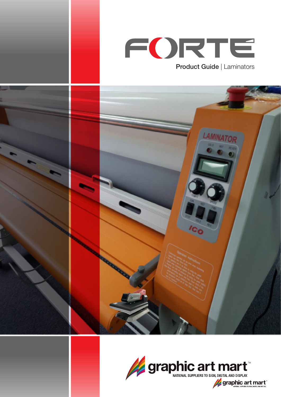



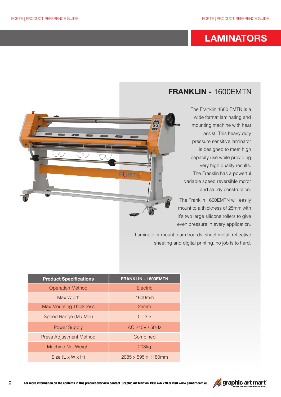## **LAMINATORS**

## **FRANKLIN -** 1600EMTN

The Franklin 1600 EMTN is a wide format laminating and mounting machine with heat assist. This heavy duty pressure sensitive laminator is designed to meet high capacity use while providing very high quality results. The Franklin has a powerful variable speed reversible motor and sturdy construction.

The Franklin 1600EMTN will easily mount to a thickness of 25mm with it's two large silicone rollers to give even pressure in every application.

Laminate or mount foam boards, sheet metal, reflective sheeting and digital printing, no job is to hard.

| <b>Product Specifications</b>  | FRANKLIN - 1600EMTN              |
|--------------------------------|----------------------------------|
| <b>Operation Method</b>        | Electric                         |
| Max Width                      | 1600 <sub>mm</sub>               |
| <b>Max Mounting Thickness</b>  | 25mm                             |
| Speed Range (M / Min)          | $0 - 3.5$                        |
| <b>Power Supply</b>            | AC 240V / 50Hz                   |
| <b>Press Adjustment Method</b> | Combined                         |
| <b>Machine Net Weight</b>      | 208kg                            |
| Size $(L \times W \times H)$   | $2085 \times 595 \times 1180$ mm |

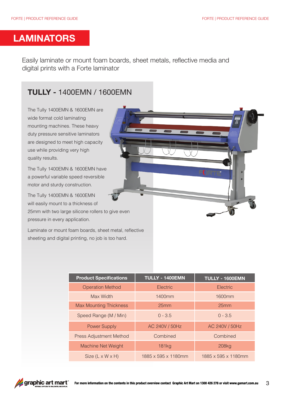## **LAMINATORS**

Easily laminate or mount foam boards, sheet metals, reflective media and digital prints with a Forte laminator

## **TULLY -** 1400EMN / 1600EMN

The Tully 1400EMN & 1600EMN are wide format cold laminating mounting machines. These heavy duty pressure sensitive laminators are designed to meet high capacity use while providing very high quality results.

The Tully 1400EMN & 1600EMN have a powerful variable speed reversible motor and sturdy construction.

The Tully 1400EMN & 1600EMN will easily mount to a thickness of

25mm with two large silicone rollers to give even pressure in every application.

Laminate or mount foam boards, sheet metal, reflective sheeting and digital printing, no job is too hard.

| <b>Product Specifications</b>  | <b>TULLY - 1400EMN</b> | TULLY - 1600EMN     |
|--------------------------------|------------------------|---------------------|
| <b>Operation Method</b>        | Electric               | <b>Electric</b>     |
| Max Width                      | 1400 <sub>mm</sub>     | 1600 <sub>mm</sub>  |
| <b>Max Mounting Thickness</b>  | 25mm                   | 25mm                |
| Speed Range (M / Min)          | $0 - 3.5$              | $0 - 3.5$           |
| <b>Power Supply</b>            | AC 240V / 50Hz         | AC 240V / 50Hz      |
| <b>Press Adjustment Method</b> | Combined               | Combined            |
| Machine Net Weight             | <b>181kg</b>           | 208kg               |
| Size $(L \times W \times H)$   | 1885 x 595 x 1180mm    | 1885 x 595 x 1180mm |